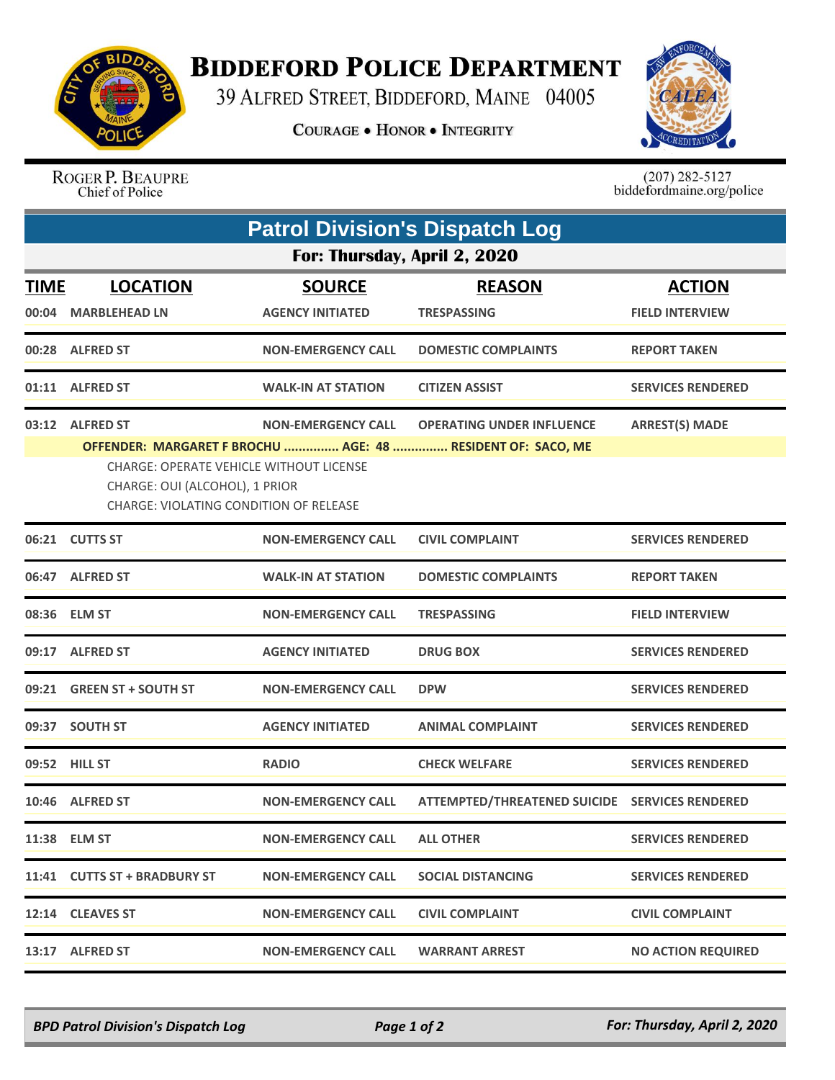

## **BIDDEFORD POLICE DEPARTMENT**

39 ALFRED STREET, BIDDEFORD, MAINE 04005

**COURAGE . HONOR . INTEGRITY** 



ROGER P. BEAUPRE Chief of Police

 $(207)$  282-5127<br>biddefordmaine.org/police

| <b>Patrol Division's Dispatch Log</b> |                                                                                                                                                                                                                                                                                                               |                                          |                                                |                                         |  |  |  |
|---------------------------------------|---------------------------------------------------------------------------------------------------------------------------------------------------------------------------------------------------------------------------------------------------------------------------------------------------------------|------------------------------------------|------------------------------------------------|-----------------------------------------|--|--|--|
| For: Thursday, April 2, 2020          |                                                                                                                                                                                                                                                                                                               |                                          |                                                |                                         |  |  |  |
| <b>TIME</b>                           | <b>LOCATION</b><br>00:04 MARBLEHEAD LN                                                                                                                                                                                                                                                                        | <b>SOURCE</b><br><b>AGENCY INITIATED</b> | <b>REASON</b><br><b>TRESPASSING</b>            | <b>ACTION</b><br><b>FIELD INTERVIEW</b> |  |  |  |
|                                       | 00:28 ALFRED ST                                                                                                                                                                                                                                                                                               | <b>NON-EMERGENCY CALL</b>                | <b>DOMESTIC COMPLAINTS</b>                     | <b>REPORT TAKEN</b>                     |  |  |  |
|                                       | 01:11 ALFRED ST                                                                                                                                                                                                                                                                                               | <b>WALK-IN AT STATION</b>                | <b>CITIZEN ASSIST</b>                          | <b>SERVICES RENDERED</b>                |  |  |  |
|                                       | 03:12 ALFRED ST<br><b>NON-EMERGENCY CALL</b><br><b>OPERATING UNDER INFLUENCE</b><br><b>ARREST(S) MADE</b><br>OFFENDER: MARGARET F BROCHU  AGE: 48  RESIDENT OF: SACO, ME<br><b>CHARGE: OPERATE VEHICLE WITHOUT LICENSE</b><br>CHARGE: OUI (ALCOHOL), 1 PRIOR<br><b>CHARGE: VIOLATING CONDITION OF RELEASE</b> |                                          |                                                |                                         |  |  |  |
|                                       | 06:21 CUTTS ST                                                                                                                                                                                                                                                                                                | <b>NON-EMERGENCY CALL</b>                | <b>CIVIL COMPLAINT</b>                         | <b>SERVICES RENDERED</b>                |  |  |  |
|                                       | 06:47 ALFRED ST                                                                                                                                                                                                                                                                                               | <b>WALK-IN AT STATION</b>                | <b>DOMESTIC COMPLAINTS</b>                     | <b>REPORT TAKEN</b>                     |  |  |  |
|                                       | 08:36 ELM ST                                                                                                                                                                                                                                                                                                  | <b>NON-EMERGENCY CALL</b>                | <b>TRESPASSING</b>                             | <b>FIELD INTERVIEW</b>                  |  |  |  |
|                                       | 09:17 ALFRED ST                                                                                                                                                                                                                                                                                               | <b>AGENCY INITIATED</b>                  | <b>DRUG BOX</b>                                | <b>SERVICES RENDERED</b>                |  |  |  |
|                                       | 09:21 GREEN ST + SOUTH ST                                                                                                                                                                                                                                                                                     | <b>NON-EMERGENCY CALL</b>                | <b>DPW</b>                                     | <b>SERVICES RENDERED</b>                |  |  |  |
|                                       | 09:37 SOUTH ST                                                                                                                                                                                                                                                                                                | <b>AGENCY INITIATED</b>                  | <b>ANIMAL COMPLAINT</b>                        | <b>SERVICES RENDERED</b>                |  |  |  |
|                                       | 09:52 HILL ST                                                                                                                                                                                                                                                                                                 | <b>RADIO</b>                             | <b>CHECK WELFARE</b>                           | <b>SERVICES RENDERED</b>                |  |  |  |
|                                       | 10:46 ALFRED ST                                                                                                                                                                                                                                                                                               | <b>NON-EMERGENCY CALL</b>                | ATTEMPTED/THREATENED SUICIDE SERVICES RENDERED |                                         |  |  |  |
|                                       | 11:38 ELM ST                                                                                                                                                                                                                                                                                                  | <b>NON-EMERGENCY CALL</b>                | <b>ALL OTHER</b>                               | <b>SERVICES RENDERED</b>                |  |  |  |
|                                       | 11:41 CUTTS ST + BRADBURY ST                                                                                                                                                                                                                                                                                  | <b>NON-EMERGENCY CALL</b>                | <b>SOCIAL DISTANCING</b>                       | <b>SERVICES RENDERED</b>                |  |  |  |
|                                       | 12:14 CLEAVES ST                                                                                                                                                                                                                                                                                              | <b>NON-EMERGENCY CALL</b>                | <b>CIVIL COMPLAINT</b>                         | <b>CIVIL COMPLAINT</b>                  |  |  |  |
|                                       | 13:17 ALFRED ST                                                                                                                                                                                                                                                                                               | <b>NON-EMERGENCY CALL</b>                | <b>WARRANT ARREST</b>                          | <b>NO ACTION REQUIRED</b>               |  |  |  |

*BPD Patrol Division's Dispatch Log Page 1 of 2 For: Thursday, April 2, 2020*